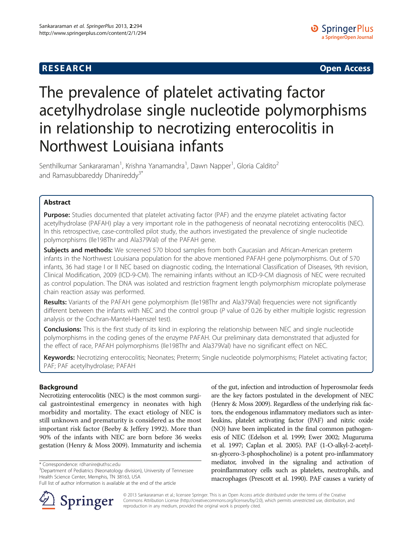# **RESEARCH CHINESE ARCH CHINESE ARCH CHINESE ARCH <b>CHINESE ARCH**

# The prevalence of platelet activating factor acetylhydrolase single nucleotide polymorphisms in relationship to necrotizing enterocolitis in Northwest Louisiana infants

Senthilkumar Sankararaman<sup>1</sup>, Krishna Yanamandra<sup>1</sup>, Dawn Napper<sup>1</sup>, Gloria Caldito<sup>2</sup> and Ramasubbareddy Dhanireddy<sup>3\*</sup>

# Abstract

Purpose: Studies documented that platelet activating factor (PAF) and the enzyme platelet activating factor acetylhydrolase (PAFAH) play a very important role in the pathogenesis of neonatal necrotizing enterocolitis (NEC). In this retrospective, case-controlled pilot study, the authors investigated the prevalence of single nucleotide polymorphisms (Ile198Thr and Ala379Val) of the PAFAH gene.

Subjects and methods: We screened 570 blood samples from both Caucasian and African-American preterm infants in the Northwest Louisiana population for the above mentioned PAFAH gene polymorphisms. Out of 570 infants, 36 had stage I or II NEC based on diagnostic coding, the International Classification of Diseases, 9th revision, Clinical Modification, 2009 (ICD-9-CM). The remaining infants without an ICD-9-CM diagnosis of NEC were recruited as control population. The DNA was isolated and restriction fragment length polymorphism microplate polymerase chain reaction assay was performed.

Results: Variants of the PAFAH gene polymorphism (Ile198Thr and Ala379Val) frequencies were not significantly different between the infants with NEC and the control group (P value of 0.26 by either multiple logistic regression analysis or the Cochran-Mantel-Haenszel test).

Conclusions: This is the first study of its kind in exploring the relationship between NEC and single nucleotide polymorphisms in the coding genes of the enzyme PAFAH. Our preliminary data demonstrated that adjusted for the effect of race, PAFAH polymorphisms (Ile198Thr and Ala379Val) have no significant effect on NEC.

Keywords: Necrotizing enterocolitis; Neonates; Preterm; Single nucleotide polymorphisms; Platelet activating factor; PAF; PAF acetylhydrolase; PAFAH

# Background

Necrotizing enterocolitis (NEC) is the most common surgical gastrointestinal emergency in neonates with high morbidity and mortality. The exact etiology of NEC is still unknown and prematurity is considered as the most important risk factor (Beeby & Jeffery [1992\)](#page-5-0). More than 90% of the infants with NEC are born before 36 weeks gestation (Henry & Moss [2009\)](#page-5-0). Immaturity and ischemia

Full list of author information is available at the end of the article



of the gut, infection and introduction of hyperosmolar feeds are the key factors postulated in the development of NEC (Henry & Moss [2009\)](#page-5-0). Regardless of the underlying risk factors, the endogenous inflammatory mediators such as interleukins, platelet activating factor (PAF) and nitric oxide (NO) have been implicated in the final common pathogenesis of NEC (Edelson et al. [1999;](#page-5-0) Ewer [2002;](#page-5-0) Muguruma et al. [1997;](#page-5-0) Caplan et al. [2005\)](#page-5-0). PAF (1-O-alkyl-2-acetylsn-glycero-3-phosphocholine) is a potent pro-inflammatory mediator, involved in the signaling and activation of proinflammatory cells such as platelets, neutrophils, and macrophages (Prescott et al. [1990](#page-5-0)). PAF causes a variety of

© 2013 Sankararaman et al.; licensee Springer. This is an Open Access article distributed under the terms of the Creative Commons Attribution License (<http://creativecommons.org/licenses/by/2.0>), which permits unrestricted use, distribution, and reproduction in any medium, provided the original work is properly cited.

<sup>\*</sup> Correspondence: [rdhanire@uthsc.edu](mailto:rdhanire@uthsc.edu) <sup>3</sup>

<sup>&</sup>lt;sup>3</sup>Department of Pediatrics (Neonatology division), University of Tennessee Health Science Center, Memphis, TN 38163, USA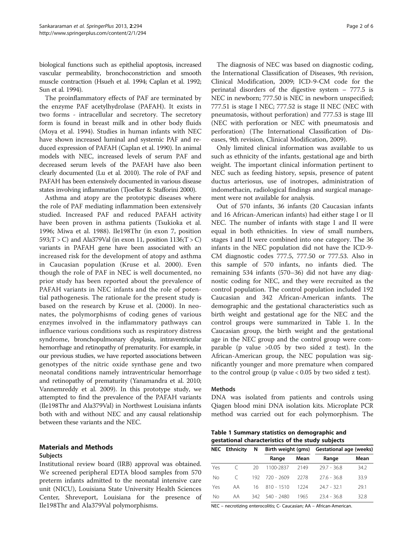biological functions such as epithelial apoptosis, increased vascular permeability, bronchoconstriction and smooth muscle contraction (Hsueh et al. [1994;](#page-5-0) Caplan et al. [1992](#page-5-0); Sun et al. [1994](#page-5-0)).

The proinflammatory effects of PAF are terminated by the enzyme PAF acetylhydrolase (PAFAH). It exists in two forms - intracellular and secretory. The secretory form is found in breast milk and in other body fluids (Moya et al. [1994\)](#page-5-0). Studies in human infants with NEC have shown increased luminal and systemic PAF and reduced expression of PAFAH (Caplan et al. [1990](#page-5-0)). In animal models with NEC, increased levels of serum PAF and decreased serum levels of the PAFAH have also been clearly documented (Lu et al. [2010\)](#page-5-0). The role of PAF and PAFAH has been extensively documented in various disease states involving inflammation (Tjoelker & Stafforini [2000\)](#page-5-0).

Asthma and atopy are the prototypic diseases where the role of PAF mediating inflammation been extensively studied. Increased PAF and reduced PAFAH activity have been proven in asthma patients (Tsukioka et al. [1996](#page-5-0); Miwa et al. [1988\)](#page-5-0). Ile198Thr (in exon 7, position  $593;T > C$ ) and Ala379Val (in exon 11, position  $1136;T > C$ ) variants in PAFAH gene have been associated with an increased risk for the development of atopy and asthma in Caucasian population (Kruse et al. [2000](#page-5-0)). Even though the role of PAF in NEC is well documented, no prior study has been reported about the prevalence of PAFAH variants in NEC infants and the role of potential pathogenesis. The rationale for the present study is based on the research by Kruse et al. [\(2000\)](#page-5-0). In neonates, the polymorphisms of coding genes of various enzymes involved in the inflammatory pathways can influence various conditions such as respiratory distress syndrome, bronchopulmonary dysplasia, intraventricular hemorrhage and retinopathy of prematurity. For example, in our previous studies, we have reported associations between genotypes of the nitric oxide synthase gene and two neonatal conditions namely intraventricular hemorrhage and retinopathy of prematurity (Yanamandra et al. [2010](#page-5-0); Vannemreddy et al. [2009](#page-5-0)). In this prototype study, we attempted to find the prevalence of the PAFAH variants (Ile198Thr and Ala379Val) in Northwest Louisiana infants both with and without NEC and any causal relationship between these variants and the NEC.

# Materials and Methods

#### Subjects

Institutional review board (IRB) approval was obtained. We screened peripheral EDTA blood samples from 570 preterm infants admitted to the neonatal intensive care unit (NICU), Louisiana State University Health Sciences Center, Shreveport, Louisiana for the presence of Ile198Thr and Ala379Val polymorphisms.

The diagnosis of NEC was based on diagnostic coding, the International Classification of Diseases, 9th revision, Clinical Modification, [2009;](#page-5-0) ICD-9-CM code for the perinatal disorders of the digestive system – 777.5 is NEC in newborn; 777.50 is NEC in newborn unspecified; 777.51 is stage I NEC; 777.52 is stage II NEC (NEC with pneumatosis, without perforation) and 777.53 is stage III (NEC with perforation or NEC with pneumatosis and perforation) (The International Classification of Diseases, 9th revision, Clinical Modification, [2009\)](#page-5-0).

Only limited clinical information was available to us such as ethnicity of the infants, gestational age and birth weight. The important clinical information pertinent to NEC such as feeding history, sepsis, presence of patent ductus arteriosus, use of inotropes, administration of indomethacin, radiological findings and surgical management were not available for analysis.

Out of 570 infants, 36 infants (20 Caucasian infants and 16 African-American infants) had either stage I or II NEC. The number of infants with stage I and II were equal in both ethnicities. In view of small numbers, stages I and II were combined into one category. The 36 infants in the NEC population did not have the ICD-9- CM diagnostic codes 777.5, 777.50 or 777.53. Also in this sample of 570 infants, no infants died. The remaining 534 infants (570–36) did not have any diagnostic coding for NEC, and they were recruited as the control population. The control population included 192 Caucasian and 342 African-American infants. The demographic and the gestational characteristics such as birth weight and gestational age for the NEC and the control groups were summarized in Table 1. In the Caucasian group, the birth weight and the gestational age in the NEC group and the control group were comparable (p value >0.05 by two sided z test). In the African-American group, the NEC population was significantly younger and more premature when compared to the control group (p value < 0.05 by two sided z test).

#### Methods

DNA was isolated from patients and controls using Qiagen blood mini DNA isolation kits. Microplate PCR method was carried out for each polymorphism. The

Table 1 Summary statistics on demographic and gestational characteristics of the study subjects

|     | <b>NEC</b> Ethnicity | N   |              |      | Birth weight (gms) Gestational age (weeks) |      |
|-----|----------------------|-----|--------------|------|--------------------------------------------|------|
|     |                      |     | Range        | Mean | Range                                      | Mean |
| Yes |                      | 20  | 1100-2837    | 2149 | $797 - 368$                                | 34.2 |
| No  |                      | 192 | - 720 - 2609 | 2278 | $276 - 368$                                | 33.9 |
| Yes | AА                   | 16  | $810 - 1510$ | 1224 | 247 - 321                                  | 291  |
| Nο  | AA                   | 342 | $540 - 2480$ | 1965 | $23.4 - 36.8$                              | 32.8 |

NEC – necrotizing enterocolitis; C- Caucasian; AA – African-American.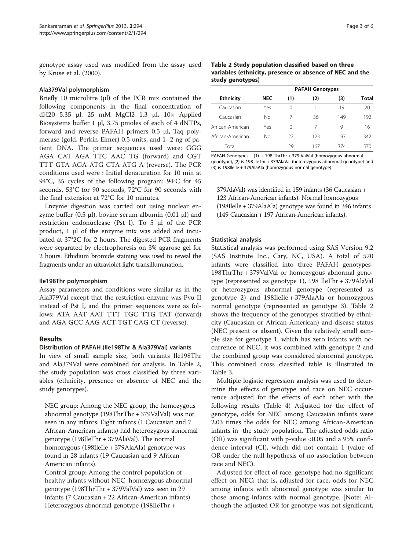<span id="page-2-0"></span>genotype assay used was modified from the assay used by Kruse et al. ([2000](#page-5-0)).

## Ala379Val polymorphism

Briefly 10 microlitre (μl) of the PCR mix contained the following components in the final concentration of dH20 5.35 μl, 25 mM MgCl2 1.3 μl, 10× Applied Biosystems buffer 1 μl, 3.75 pmoles of each of 4 dNTPs, forward and reverse PAFAH primers 0.5 μl, Taq polymerase (gold, Perkin-Elmer) 0.5 units, and 1–2 ng of patient DNA. The primer sequences used were: GGG AGA CAT AGA TTC AAC TG (forward) and CGT TTT GTA AGA ATG CTA ATG A (reverse). The PCR conditions used were : Initial denaturation for 10 min at 94°C, 35 cycles of the following program: 94°C for 45 seconds, 53°C for 90 seconds, 72°C for 90 seconds with the final extension at 72°C for 10 minutes.

Enzyme digestion was carried out using nuclear enzyme buffer (0.5 μl), bovine serum albumin (0.01 μl) and restriction endonuclease (Pst I). To 5 μl of the PCR product, 1 μl of the enzyme mix was added and incubated at 37°2C for 2 hours. The digested PCR fragments were separated by electrophoresis on 3% agarose gel for 2 hours. Ethidium bromide staining was used to reveal the fragments under an ultraviolet light transillumination.

# Ile198Thr polymorphism

Assay parameters and conditions were similar as in the Ala379Val except that the restriction enzyme was Pvu II instead of Pst I, and the primer sequences were as follows: ATA AAT AAT TTT TGC TTG TAT (forward) and AGA GCC AAG ACT TGT CAG CT (reverse).

# Results

#### Distribution of PAFAH (Ile198Thr & Ala379Val) variants

In view of small sample size, both variants Ile198Thr and Ala379Val were combined for analysis. In Table 2, the study population was cross classified by three variables (ethnicity, presence or absence of NEC and the study genotypes).

NEC group: Among the NEC group, the homozygous abnormal genotype (198ThrThr + 379ValVal) was not seen in any infants. Eight infants (1 Caucasian and 7 African-American infants) had heterozygous abnormal genotype (198IleThr + 379AlaVal). The normal homozygous (198IleIle + 379AlaAla) genotype was found in 28 infants (19 Caucasian and 9 African-American infants).

Control group: Among the control population of healthy infants without NEC, homozygous abnormal genotype (198ThrThr + 379ValVal) was seen in 29 infants (7 Caucasian + 22 African-American infants). Heterozygous abnormal genotype (198IleThr +

#### Table 2 Study population classified based on three variables (ethnicity, presence or absence of NEC and the study genotypes)

|                  |            | <b>PAFAH Genotypes</b> |     |     |       |  |
|------------------|------------|------------------------|-----|-----|-------|--|
| <b>Ethnicity</b> | <b>NEC</b> | (1)                    | (2) | (3) | Total |  |
| Caucasian        | Yes        | 0                      |     | 19  | 20    |  |
| Caucasian        | Nο         | 7                      | 36  | 149 | 192   |  |
| African-American | Yes        | 0                      | 7   | 9   | 16    |  |
| African-American | Nο         | 22                     | 123 | 197 | 342   |  |
| Total            |            | 29                     | 167 | 374 | 570   |  |

PAFAH Genotypes – (1) is 198 ThrThr + 379 ValVal (homozygous abnormal genotype), (2) is 198 IleThr + 379AlaVal (heterozygous abnormal genotype) and (3) is 198IleIle + 379AlaAla (homozygous normal genotype).

379AlaVal) was identified in 159 infants (36 Caucasian + 123 African-American infants). Normal homozygous (198IleIle + 379AlaAla) genotype was found in 346 infants (149 Caucasian + 197 African-American infants).

## Statistical analysis

Statistical analysis was performed using SAS Version 9.2 (SAS Institute Inc., Cary, NC, USA). A total of 570 infants were classified into three PAFAH genotypes-198ThrThr + 379ValVal or homozygous abnormal genotype (represented as genotype 1), 198 IleThr + 379AlaVal or heterozygous abnormal genotype (represented as genotype 2) and 198IleIle + 379AlaAla or homozygous normal genotype (represented as genotype 3). Table 2 shows the frequency of the genotypes stratified by ethnicity (Caucasian or African-American) and disease status (NEC present or absent). Given the relatively small sample size for genotype 1, which has zero infants with occurrence of NEC, it was combined with genotype 2 and the combined group was considered abnormal genotype. This combined cross classified table is illustrated in Table [3.](#page-3-0)

Multiple logistic regression analysis was used to determine the effects of genotype and race on NEC occurrence adjusted for the effects of each other with the following results (Table [4](#page-3-0)) Adjusted for the effect of genotype, odds for NEC among Caucasian infants were 2.03 times the odds for NEC among African-American infants in the study population. The adjusted odds ratio (OR) was significant with p-value  $<0.05$  and a 95% confidence interval (CI), which did not contain 1 (value of OR under the null hypothesis of no association between race and NEC).

Adjusted for effect of race, genotype had no significant effect on NEC; that is, adjusted for race, odds for NEC among infants with abnormal genotype was similar to those among infants with normal genotype. [Note: Although the adjusted OR for genotype was not significant,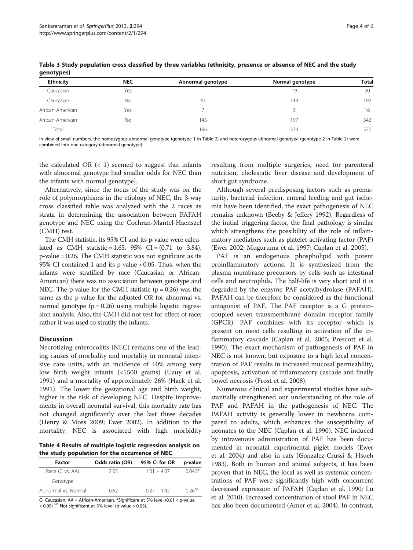| <b>Ethnicity</b> | <b>NEC</b> | Abnormal genotype | Normal genotype | <b>Total</b> |
|------------------|------------|-------------------|-----------------|--------------|
| Caucasian        | Yes        |                   | 19              | 20           |
| Caucasian        | No         | 43                | 149             | 192          |
| African-American | Yes        |                   | a               | 16           |
| African-American | No         | 145               | 197             | 342          |
| Total            |            | 196               | 374             | 570          |

<span id="page-3-0"></span>Table 3 Study population cross classified by three variables (ethnicity, presence or absence of NEC and the study genotypes)

In view of small numbers, the homozygous abnormal genotype (genotype 1 in Table [2\)](#page-2-0) and heterozygous abnormal genotype (genotype 2 in Table [2\)](#page-2-0) were combined into one category (abnormal genotype).

the calculated OR  $(< 1)$  seemed to suggest that infants with abnormal genotype had smaller odds for NEC than the infants with normal genotype].

Alternatively, since the focus of the study was on the role of polymorphisms in the etiology of NEC, the 3-way cross classified table was analyzed with the 2 races as strata in determining the association between PAFAH genotype and NEC using the Cochran-Mantel-Haenszel (CMH) test.

The CMH statistic, its 95% CI and its p-value were calculated as CMH statistic =  $1.65$ ,  $95\%$  CI =  $(0.71$  to 3.84), p-value = 0.26. The CMH statistic was not significant as its 95% CI contained 1 and its p-value > 0.05. Thus, when the infants were stratified by race (Caucasian or African-American) there was no association between genotype and NEC. The p-value for the CMH statistic  $(p = 0.26)$  was the same as the p-value for the adjusted OR for abnormal vs. normal genotype  $(p = 0.26)$  using multiple logistic regression analysis. Also, the CMH did not test for effect of race; rather it was used to stratify the infants.

#### **Discussion**

Necrotizing enterocolitis (NEC) remains one of the leading causes of morbidity and mortality in neonatal intensive care units, with an incidence of 10% among very low birth weight infants (<1500 grams) (Uauy et al. [1991](#page-5-0)) and a mortality of approximately 26% (Hack et al. [1991](#page-5-0)). The lower the gestational age and birth weight, higher is the risk of developing NEC. Despite improvements in overall neonatal survival, this mortality rate has not changed significantly over the last three decades (Henry & Moss [2009](#page-5-0); Ewer [2002](#page-5-0)). In addition to the mortality, NEC is associated with high morbidity

Table 4 Results of multiple logistic regression analysis on the study population for the occurrence of NEC

| Factor              | Odds ratio (OR) | 95% CI for OR | p-value            |
|---------------------|-----------------|---------------|--------------------|
| Race (C vs. AA)     | 2.03            | $101 - 407$   | $0.046*$           |
| Genotype            |                 |               |                    |
| Abnormal vs. Normal | 0.62            | $0.27 - 1.42$ | 0.26 <sup>NS</sup> |

C- Caucasian; AA – African-American. \*Significant at 5% level (0.01 < p-value  $<$  0.05) <sup>NS</sup> Not significant at 5% level (p-value > 0.05).

resulting from multiple surgeries, need for parenteral nutrition, cholestatic liver disease and development of short gut syndrome.

Although several predisposing factors such as prematurity, bacterial infection, enteral feeding and gut ischemia have been identified, the exact pathogenesis of NEC remains unknown (Beeby & Jeffery [1992\)](#page-5-0). Regardless of the initial triggering factor, the final pathology is similar which strengthens the possibility of the role of inflammatory mediators such as platelet activating factor (PAF) (Ewer [2002;](#page-5-0) Muguruma et al. [1997](#page-5-0); Caplan et al. [2005\)](#page-5-0).

PAF is an endogenous phospholipid with potent proinflammatory actions. It is synthesized from the plasma membrane precursors by cells such as intestinal cells and neutrophils. The half-life is very short and it is degraded by the enzyme PAF acetylhydrolase (PAFAH). PAFAH can be therefore be considered as the functional antagonist of PAF. The PAF receptor is a G proteincoupled seven transmembrane domain receptor family (GPCR). PAF combines with its receptor which is present on most cells resulting in activation of the inflammatory cascade (Caplan et al. [2005](#page-5-0); Prescott et al. [1990](#page-5-0)). The exact mechanism of pathogenesis of PAF in NEC is not known, but exposure to a high local concentration of PAF results in increased mucosal permeability, apoptosis, activation of inflammatory cascade and finally bowel necrosis (Frost et al. [2008](#page-5-0)).

Numerous clinical and experimental studies have substantially strengthened our understanding of the role of PAF and PAFAH in the pathogenesis of NEC. The PAFAH activity is generally lower in newborns compared to adults, which enhances the susceptibility of neonates to the NEC (Caplan et al. [1990](#page-5-0)). NEC induced by intravenous administration of PAF has been documented in neonatal experimental piglet models (Ewer et al. [2004](#page-5-0)) and also in rats (Gonzalez-Crussi & Hsueh [1983\)](#page-5-0). Both in human and animal subjects, it has been proven that in NEC, the local as well as systemic concentrations of PAF were significantly high with concurrent decreased expression of PAFAH (Caplan et al. [1990](#page-5-0); Lu et al. [2010\)](#page-5-0). Increased concentration of stool PAF in NEC has also been documented (Amer et al. [2004](#page-5-0)). In contrast,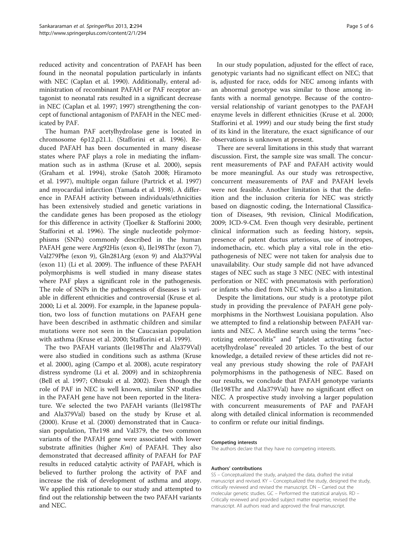reduced activity and concentration of PAFAH has been found in the neonatal population particularly in infants with NEC (Caplan et al. [1990](#page-5-0)). Additionally, enteral administration of recombinant PAFAH or PAF receptor antagonist to neonatal rats resulted in a significant decrease in NEC (Caplan et al. [1997](#page-5-0); [1997\)](#page-5-0) strengthening the concept of functional antagonism of PAFAH in the NEC medicated by PAF.

The human PAF acetylhydrolase gene is located in chromosome 6p12.p21.1. (Stafforini et al. [1996\)](#page-5-0). Reduced PAFAH has been documented in many disease states where PAF plays a role in mediating the inflammation such as in asthma (Kruse et al. [2000](#page-5-0)), sepsis (Graham et al. [1994\)](#page-5-0), stroke (Satoh [2008](#page-5-0); Hiramoto et al. [1997\)](#page-5-0), multiple organ failure (Partrick et al. [1997](#page-5-0)) and myocardial infarction (Yamada et al. [1998](#page-5-0)). A difference in PAFAH activity between individuals/ethnicities has been extensively studied and genetic variations in the candidate genes has been proposed as the etiology for this difference in activity (Tjoelker & Stafforini [2000](#page-5-0); Stafforini et al. [1996\)](#page-5-0). The single nucleotide polymorphisms (SNPs) commonly described in the human PAFAH gene were Arg92His (exon 4), Ile198Thr (exon 7), Val279Phe (exon 9), Gln281Arg (exon 9) and Ala379Val (exon 11) (Li et al. [2009](#page-5-0)). The influence of these PAFAH polymorphisms is well studied in many disease states where PAF plays a significant role in the pathogenesis. The role of SNPs in the pathogenesis of diseases is variable in different ethnicities and controversial (Kruse et al. [2000;](#page-5-0) Li et al. [2009](#page-5-0)). For example, in the Japanese population, two loss of function mutations on PAFAH gene have been described in asthmatic children and similar mutations were not seen in the Caucasian population with asthma (Kruse et al. [2000;](#page-5-0) Stafforini et al. [1999](#page-5-0)).

The two PAFAH variants (Ile198Thr and Ala379Val) were also studied in conditions such as asthma (Kruse et al. [2000\)](#page-5-0), aging (Campo et al. [2008\)](#page-5-0), acute respiratory distress syndrome (Li et al. [2009](#page-5-0)) and in schizophrenia (Bell et al. [1997;](#page-5-0) Ohtsuki et al. [2002](#page-5-0)). Even though the role of PAF in NEC is well known, similar SNP studies in the PAFAH gene have not been reported in the literature. We selected the two PAFAH variants (Ile198Thr and Ala379Val) based on the study by Kruse et al. ([2000](#page-5-0)). Kruse et al. ([2000](#page-5-0)) demonstrated that in Caucasian population, Thr198 and Val379, the two common variants of the PAFAH gene were associated with lower substrate affinities (higher  $Km$ ) of PAFAH. They also demonstrated that decreased affinity of PAFAH for PAF results in reduced catalytic activity of PAFAH, which is believed to further prolong the activity of PAF and increase the risk of development of asthma and atopy. We applied this rationale to our study and attempted to find out the relationship between the two PAFAH variants and NEC.

In our study population, adjusted for the effect of race, genotypic variants had no significant effect on NEC; that is, adjusted for race, odds for NEC among infants with an abnormal genotype was similar to those among infants with a normal genotype. Because of the controversial relationship of variant genotypes to the PAFAH enzyme levels in different ethnicities (Kruse et al. [2000](#page-5-0); Stafforini et al. [1999](#page-5-0)) and our study being the first study of its kind in the literature, the exact significance of our observations is unknown at present.

There are several limitations in this study that warrant discussion. First, the sample size was small. The concurrent measurements of PAF and PAFAH activity would be more meaningful. As our study was retrospective, concurrent measurements of PAF and PAFAH levels were not feasible. Another limitation is that the definition and the inclusion criteria for NEC was strictly based on diagnostic coding, the International Classification of Diseases, 9th revision, Clinical Modification, [2009](#page-5-0); ICD-9-CM. Even though very desirable, pertinent clinical information such as feeding history, sepsis, presence of patent ductus arteriosus, use of inotropes, indomethacin, etc. which play a vital role in the etiopathogenesis of NEC were not taken for analysis due to unavailability. Our study sample did not have advanced stages of NEC such as stage 3 NEC (NEC with intestinal perforation or NEC with pneumatosis with perforation) or infants who died from NEC which is also a limitation.

Despite the limitations, our study is a prototype pilot study in providing the prevalence of PAFAH gene polymorphisms in the Northwest Louisiana population. Also we attempted to find a relationship between PAFAH variants and NEC. A Medline search using the terms "necrotizing enterocolitis" and "platelet activating factor acetylhydrolase" revealed 20 articles. To the best of our knowledge, a detailed review of these articles did not reveal any previous study showing the role of PAFAH polymorphisms in the pathogenesis of NEC. Based on our results, we conclude that PAFAH genotype variants (Ile198Thr and Ala379Val) have no significant effect on NEC. A prospective study involving a larger population with concurrent measurements of PAF and PAFAH along with detailed clinical information is recommended to confirm or refute our initial findings.

#### Competing interests

The authors declare that they have no competing interests.

#### Authors' contributions

SS – Conceptualized the study, analyzed the data, drafted the initial manuscript and revised. KY – Conceptualized the study, designed the study, critically reviewed and revised the manuscript. DN – Carried out the molecular genetic studies. GC – Performed the statistical analysis. RD – Critically reviewed and provided subject matter expertise, revised the manuscript. All authors read and approved the final manuscript.